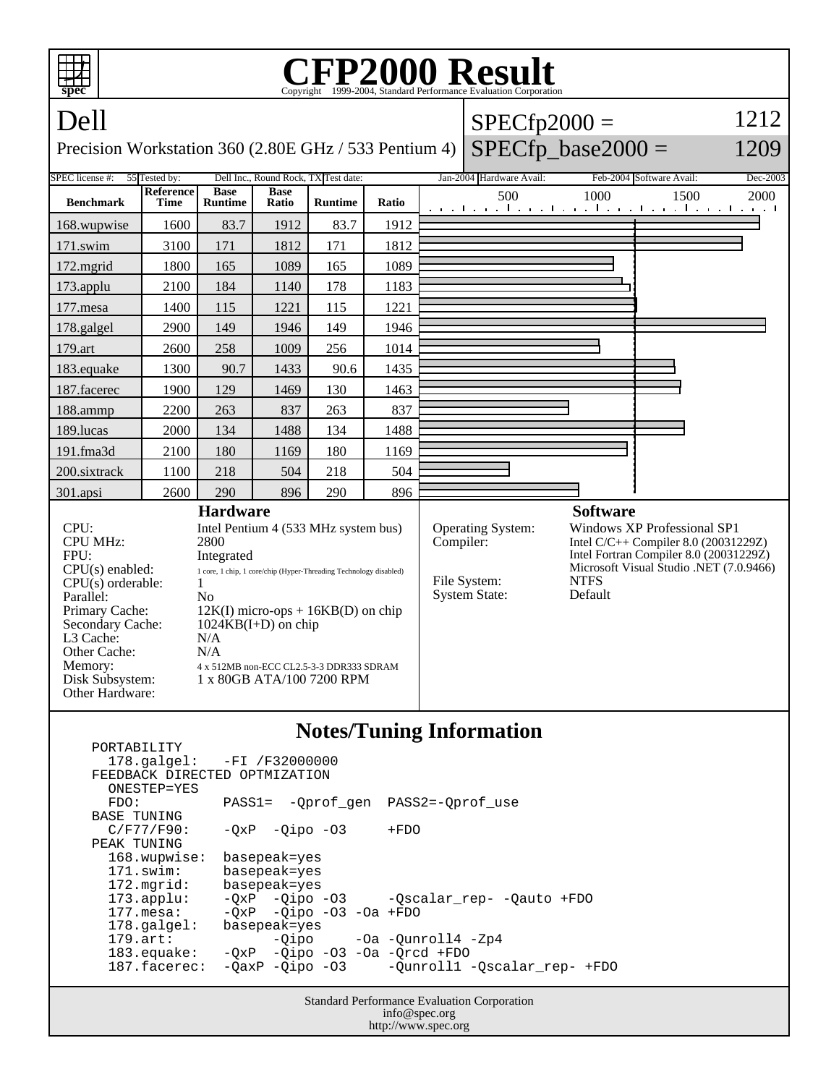| <b>FP2000 Result</b><br>Copyright ©1999-2004. Standard Performance Evaluation Corporation<br>spec                                                                                                            |                                 |                                                                |                                                                                                                                                                                                                                                     |                |       |                                                                  |                                                                        |                                                                                                                                                                                                         |      |      |
|--------------------------------------------------------------------------------------------------------------------------------------------------------------------------------------------------------------|---------------------------------|----------------------------------------------------------------|-----------------------------------------------------------------------------------------------------------------------------------------------------------------------------------------------------------------------------------------------------|----------------|-------|------------------------------------------------------------------|------------------------------------------------------------------------|---------------------------------------------------------------------------------------------------------------------------------------------------------------------------------------------------------|------|------|
| Dell                                                                                                                                                                                                         |                                 |                                                                |                                                                                                                                                                                                                                                     |                |       |                                                                  | $SPECfp2000 =$                                                         |                                                                                                                                                                                                         |      | 1212 |
| $SPECfp\_base2000 =$<br>1209<br>Precision Workstation 360 (2.80E GHz / 533 Pentium 4)                                                                                                                        |                                 |                                                                |                                                                                                                                                                                                                                                     |                |       |                                                                  |                                                                        |                                                                                                                                                                                                         |      |      |
| 55 Tested by:<br>Dell Inc., Round Rock, TX Test date:<br>SPEC license #:                                                                                                                                     |                                 |                                                                |                                                                                                                                                                                                                                                     |                |       | Jan-2004 Hardware Avail:<br>Feb-2004 Software Avail:<br>Dec-2003 |                                                                        |                                                                                                                                                                                                         |      |      |
| <b>Benchmark</b>                                                                                                                                                                                             | <b>Reference</b><br><b>Time</b> | <b>Base</b><br><b>Runtime</b>                                  | <b>Base</b><br>Ratio                                                                                                                                                                                                                                | <b>Runtime</b> | Ratio |                                                                  | 500<br>المتعبدا وتعبا وتعبا وتعارضه المعرا وتعبا وتعبا وتحالف          | 1000                                                                                                                                                                                                    | 1500 | 2000 |
| 168.wupwise                                                                                                                                                                                                  | 1600                            | 83.7                                                           | 1912                                                                                                                                                                                                                                                | 83.7           | 1912  |                                                                  |                                                                        |                                                                                                                                                                                                         |      |      |
| 171.swim                                                                                                                                                                                                     | 3100                            | 171                                                            | 1812                                                                                                                                                                                                                                                | 171            | 1812  |                                                                  |                                                                        |                                                                                                                                                                                                         |      |      |
| 172.mgrid                                                                                                                                                                                                    | 1800                            | 165                                                            | 1089                                                                                                                                                                                                                                                | 165            | 1089  |                                                                  |                                                                        |                                                                                                                                                                                                         |      |      |
| 173.applu                                                                                                                                                                                                    | 2100                            | 184                                                            | 1140                                                                                                                                                                                                                                                | 178            | 1183  |                                                                  |                                                                        |                                                                                                                                                                                                         |      |      |
| 177.mesa                                                                                                                                                                                                     | 1400                            | 115                                                            | 1221                                                                                                                                                                                                                                                | 115            | 1221  |                                                                  |                                                                        |                                                                                                                                                                                                         |      |      |
| 178.galgel                                                                                                                                                                                                   | 2900                            | 149                                                            | 1946                                                                                                                                                                                                                                                | 149            | 1946  |                                                                  |                                                                        |                                                                                                                                                                                                         |      |      |
| 179.art                                                                                                                                                                                                      | 2600                            | 258                                                            | 1009                                                                                                                                                                                                                                                | 256            | 1014  |                                                                  |                                                                        |                                                                                                                                                                                                         |      |      |
| 183.equake                                                                                                                                                                                                   | 1300                            | 90.7                                                           | 1433                                                                                                                                                                                                                                                | 90.6           | 1435  |                                                                  |                                                                        |                                                                                                                                                                                                         |      |      |
| 187.facerec                                                                                                                                                                                                  | 1900                            | 129                                                            | 1469                                                                                                                                                                                                                                                | 130            | 1463  |                                                                  |                                                                        |                                                                                                                                                                                                         |      |      |
| 188.ammp                                                                                                                                                                                                     | 2200                            | 263                                                            | 837                                                                                                                                                                                                                                                 | 263            | 837   |                                                                  |                                                                        |                                                                                                                                                                                                         |      |      |
| 189.lucas                                                                                                                                                                                                    | 2000                            | 134                                                            | 1488                                                                                                                                                                                                                                                | 134            | 1488  |                                                                  |                                                                        |                                                                                                                                                                                                         |      |      |
| 191.fma3d                                                                                                                                                                                                    | 2100                            | 180                                                            | 1169                                                                                                                                                                                                                                                | 180            | 1169  |                                                                  |                                                                        |                                                                                                                                                                                                         |      |      |
| 200.sixtrack                                                                                                                                                                                                 | 1100                            | 218                                                            | 504                                                                                                                                                                                                                                                 | 218            | 504   |                                                                  |                                                                        |                                                                                                                                                                                                         |      |      |
| 301.apsi                                                                                                                                                                                                     | 2600                            | 290                                                            | 896                                                                                                                                                                                                                                                 | 290            | 896   |                                                                  |                                                                        |                                                                                                                                                                                                         |      |      |
| CPU:<br><b>CPU MHz:</b><br>FPU:<br>$CPU(s)$ enabled:<br>$CPU(s)$ orderable:<br>Parallel:<br>Primary Cache:<br>Secondary Cache:<br>L3 Cache:<br>Other Cache:<br>Memory:<br>Disk Subsystem:<br>Other Hardware: |                                 | <b>Hardware</b><br>2800<br>Integrated<br>1<br>No<br>N/A<br>N/A | Intel Pentium 4 (533 MHz system bus)<br>1 core, 1 chip, 1 core/chip (Hyper-Threading Technology disabled)<br>$12K(I)$ micro-ops + 16KB(D) on chip<br>$1024KB(I+D)$ on chip<br>4 x 512MB non-ECC CL2.5-3-3 DDR333 SDRAM<br>1 x 80GB ATA/100 7200 RPM |                |       |                                                                  | Operating System:<br>Compiler:<br>File System:<br><b>System State:</b> | <b>Software</b><br>Windows XP Professional SP1<br>Intel $C/C++$ Compiler 8.0 (20031229Z)<br>Intel Fortran Compiler 8.0 (20031229Z)<br>Microsoft Visual Studio .NET (7.0.9466)<br><b>NTFS</b><br>Default |      |      |
| Notes/Tuning Information                                                                                                                                                                                     |                                 |                                                                |                                                                                                                                                                                                                                                     |                |       |                                                                  |                                                                        |                                                                                                                                                                                                         |      |      |

## **Notes/Tuning Information**

http://www.spec.org

|                    |                                                    |                                                 | ぉ                                            |  |  |  |  |  |  |  |  |
|--------------------|----------------------------------------------------|-------------------------------------------------|----------------------------------------------|--|--|--|--|--|--|--|--|
|                    | PORTABILITY                                        |                                                 |                                              |  |  |  |  |  |  |  |  |
|                    | 178.galgel: -FI /F32000000                         |                                                 |                                              |  |  |  |  |  |  |  |  |
|                    | FEEDBACK DIRECTED OPTMIZATION                      |                                                 |                                              |  |  |  |  |  |  |  |  |
|                    | ONESTEP=YES                                        |                                                 |                                              |  |  |  |  |  |  |  |  |
|                    | FDO:                                               | PASS1= -Oprof gen PASS2=-Oprof use              |                                              |  |  |  |  |  |  |  |  |
| <b>BASE TUNING</b> |                                                    |                                                 |                                              |  |  |  |  |  |  |  |  |
|                    | $C/F77/F90$ :                                      | $-OXP -Oipo -O3$                                | $+FDO$                                       |  |  |  |  |  |  |  |  |
|                    | PEAK TUNING                                        |                                                 |                                              |  |  |  |  |  |  |  |  |
|                    | 168.wupwise:                                       | basepeak=yes                                    |                                              |  |  |  |  |  |  |  |  |
|                    | $171$ .swim:                                       | basepeak=yes                                    |                                              |  |  |  |  |  |  |  |  |
|                    | $172.\text{mgrid}:$                                | basepeak=yes                                    |                                              |  |  |  |  |  |  |  |  |
|                    | $173.\text{applu}:$                                |                                                 | -QxP -Qipo -03 -Qscalar_rep- -Qauto +FDO     |  |  |  |  |  |  |  |  |
|                    | $177.\text{mesa}$ :                                | $-OXP$ $-Oipo$ $-O3$ $-Oa$ $+FDO$               |                                              |  |  |  |  |  |  |  |  |
|                    | $178.\text{qalgel}$ :                              | basepeak=yes                                    |                                              |  |  |  |  |  |  |  |  |
|                    | $179.\text{art}$ :                                 |                                                 | $-Qipo$ $-0a$ $-Qunroll4$ $-Zp4$             |  |  |  |  |  |  |  |  |
|                    |                                                    | 183.equake: - QxP - Qipo - 03 - 0a - Qrcd + FDO |                                              |  |  |  |  |  |  |  |  |
|                    | 187.facerec:                                       |                                                 | -QaxP -Qipo -03 -Qunroll1 -Qscalar_rep- +FDO |  |  |  |  |  |  |  |  |
|                    |                                                    |                                                 |                                              |  |  |  |  |  |  |  |  |
|                    | <b>Standard Performance Evaluation Corporation</b> |                                                 |                                              |  |  |  |  |  |  |  |  |
|                    | info@spec.org                                      |                                                 |                                              |  |  |  |  |  |  |  |  |
|                    |                                                    |                                                 |                                              |  |  |  |  |  |  |  |  |